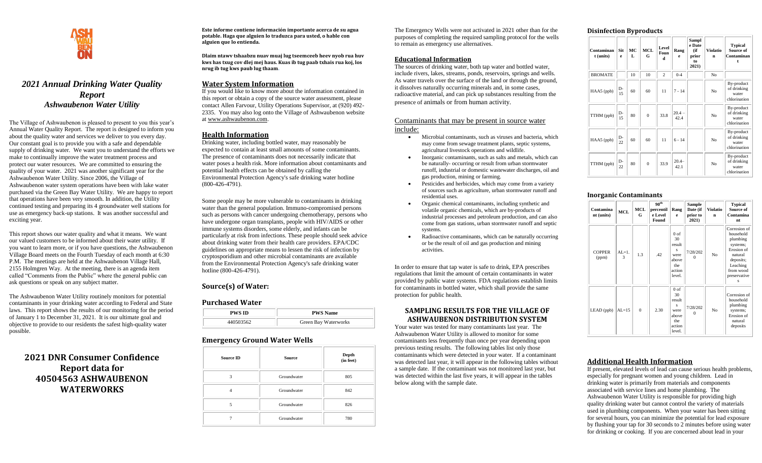

# *2021 Annual Drinking Water Quality Report Ashwaubenon Water Utility*

The Village of Ashwaubenon is pleased to present to you this year's Annual Water Quality Report. The report is designed to inform you about the quality water and services we deliver to you every day. Our constant goal is to provide you with a safe and dependable supply of drinking water. We want you to understand the efforts we make to continually improve the water treatment process and protect our water resources. We are committed to ensuring the quality of your water. 2021 was another significant year for the Ashwaubenon Water Utility. Since 2006, the Village of Ashwaubenon water system operations have been with lake water purchased via the Green Bay Water Utility. We are happy to report that operations have been very smooth. In addition, the Utility continued testing and preparing its 4 groundwater well stations for use as emergency back-up stations. It was another successful and exciting year.

This report shows our water quality and what it means. We want our valued customers to be informed about their water utility. If you want to learn more, or if you have questions, the Ashwaubenon Village Board meets on the Fourth Tuesday of each month at 6:30 P.M. The meetings are held at the Ashwaubenon Village Hall, 2155 Holmgren Way. At the meeting, there is an agenda item called "Comments from the Public" where the general public can ask questions or speak on any subject matter.

The Ashwaubenon Water Utility routinely monitors for potential contaminants in your drinking water according to Federal and State laws. This report shows the results of our monitoring for the period of January 1 to December 31, 2021. It is our ultimate goal and objective to provide to our residents the safest high-quality water possible.

# **2021 DNR Consumer Confidence Report data for 40504563 ASHWAUBENON WATERWORKS**

**Este informe contiene información importante acerca de su agua potable. Haga que alguien lo traduzca para usted, o hable con alguien que lo entienda.**

**Dlaim ntawv tshaabzu nuav muaj lug tseemceeb heev nyob rua huv kws has txug cov dlej mej haus. Kuas ib tug paab txhais rua koj, los nrug ib tug kws paub lug thaam.**

## **Water System Information**

If you would like to know more about the information contained in this report or obtain a copy of the source water assessment, please contact Allen Farvour, Utility Operations Supervisor, at (920) 492- 2335. You may also log onto the Village of Ashwaubenon website at [www.ashwaubenon.com.](http://www.ashwaubenon.com/)

### **Health Information**

Drinking water, including bottled water, may reasonably be expected to contain at least small amounts of some contaminants. The presence of contaminants does not necessarily indicate that water poses a health risk. More information about contaminants and potential health effects can be obtained by calling the Environmental Protection Agency's safe drinking water hotline (800-426-4791).

Some people may be more vulnerable to contaminants in drinking water than the general population. Immuno-compromised persons such as persons with cancer undergoing chemotherapy, persons who have undergone organ transplants, people with HIV/AIDS or other immune systems disorders, some elderly, and infants can be particularly at risk from infections. These people should seek advice about drinking water from their health care providers. EPA/CDC guidelines on appropriate means to lessen the risk of infection by cryptosporidium and other microbial contaminants are available from the Environmental Protection Agency's safe drinking water hotline (800-426-4791).

## **Source(s) of Water:**

#### **Purchased Water**

| <b>PWS ID</b> | <b>PWS Name</b>      |  |  |  |
|---------------|----------------------|--|--|--|
| 440503562     | Green Bay Waterworks |  |  |  |

## **Emergency Ground Water Wells**

| <b>Source ID</b>   | <b>Source</b> | Depth<br>(in feet) |
|--------------------|---------------|--------------------|
| $\mathbf{\hat{z}}$ | Groundwater   | 805                |
|                    | Groundwater   | 842                |
| 5                  | Groundwater   | 826                |
|                    | Groundwater   | 780                |

The Emergency Wells were not activated in 2021 other than for the purposes of completing the required sampling protocol for the wells to remain as emergency use alternatives.

## **Educational Information**

The sources of drinking water, both tap water and bottled water, include rivers, lakes, streams, ponds, reservoirs, springs and wells. As water travels over the surface of the land or through the ground, it dissolves naturally occurring minerals and, in some cases, radioactive material, and can pick up substances resulting from the presence of animals or from human activity.

### Contaminants that may be present in source water include:

- Microbial contaminants, such as viruses and bacteria, which may come from sewage treatment plants, septic systems, agricultural livestock operations and wildlife.
- Inorganic contaminants, such as salts and metals, which can be naturally- occurring or result from urban stormwater runoff, industrial or domestic wastewater discharges, oil and gas production, mining or farming.
- Pesticides and herbicides, which may come from a variety of sources such as agriculture, urban stormwater runoff and residential uses.
- Organic chemical contaminants, including synthetic and volatile organic chemicals, which are by-products of industrial processes and petroleum production, and can also come from gas stations, urban stormwater runoff and septic systems.
- Radioactive contaminants, which can be naturally occurring or be the result of oil and gas production and mining activities.

In order to ensure that tap water is safe to drink, EPA prescribes regulations that limit the amount of certain contaminants in water provided by public water systems. FDA regulations establish limits for contaminants in bottled water, which shall provide the same protection for public health.

## **SAMPLING RESULTS FOR THE VILLAGE OF ASHWAUBENON DISTRIBUTION SYSTEM**

Your water was tested for many contaminants last year. The Ashwaubenon Water Utility is allowed to monitor for some contaminants less frequently than once per year depending upon previous testing results. The following tables list only those contaminants which were detected in your water. If a contaminant was detected last year, it will appear in the following tables without a sample date. If the contaminant was not monitored last year, but was detected within the last five years, it will appear in the tables below along with the sample date.

### **Disinfection Byproducts**

| Contaminan<br>t (units) | Sit<br>e    | MC<br>L | <b>MCL</b><br>G | Level<br>Foun<br>d | Rang<br>e        | Sampl<br>e Date<br>(if<br>prior<br>to<br>2021) | <b>Violatio</b><br>n | <b>Typical</b><br>Source of<br>Contaminan<br>t     |
|-------------------------|-------------|---------|-----------------|--------------------|------------------|------------------------------------------------|----------------------|----------------------------------------------------|
| <b>BROMATE</b>          |             | 10      | 10              | $\overline{c}$     | $0 - 4$          |                                                | No                   |                                                    |
| HAA5 (ppb)              | D-<br>15    | 60      | 60              | 11                 | $7 - 14$         |                                                | No                   | By-product<br>of drinking<br>water<br>chlorination |
| TTHM (ppb)              | $D -$<br>15 | 80      | $\theta$        | 33.8               | $20.4 -$<br>42.4 |                                                | No                   | By-product<br>of drinking<br>water<br>chlorination |
| HAA5 (ppb)              | $D -$<br>22 | 60      | 60              | 11                 | $6 - 14$         |                                                | No                   | By-product<br>of drinking<br>water<br>chlorination |
| TTHM (ppb)              | D-<br>22    | 80      | $\theta$        | 33.9               | $20.4 -$<br>42.1 |                                                | No                   | By-product<br>of drinking<br>water<br>chlorination |

### **Inorganic Contaminants**

| Contamina<br>nt (units) | <b>MCL</b>    | MCL<br>G | 90 <sup>th</sup><br>percentil<br>e Level<br>Found | Rang<br>e                                                                        | Sample<br>Date (if<br>prior to<br>2021) | <b>Violatio</b><br>n | <b>Typical</b><br>Source of<br>Contamina<br>nt                                                                                        |
|-------------------------|---------------|----------|---------------------------------------------------|----------------------------------------------------------------------------------|-----------------------------------------|----------------------|---------------------------------------------------------------------------------------------------------------------------------------|
| <b>COPPER</b><br>(ppm)  | $AL=1$ .<br>3 | 1.3      | .42                                               | $0$ of<br>30<br>result<br>Ś<br>were<br>above<br>the<br>action<br>level.          | 7/28/202<br>$\mathbf{a}$                | No                   | Corrosion of<br>household<br>plumbing<br>systems;<br>Erosion of<br>natural<br>deposits;<br>Leaching<br>from wood<br>preservative<br>s |
| LEAD (ppb)              | $AL=15$       | $\Omega$ | 2.30                                              | 0 <sub>of</sub><br>30<br>result<br>s<br>were<br>above<br>the<br>action<br>level. | 7/28/202<br>$\Omega$                    | N <sub>o</sub>       | Corrosion of<br>household<br>plumbing<br>systems;<br>Erosion of<br>natural<br>deposits                                                |

## **Additional Health Information**

If present, elevated levels of lead can cause serious health problems, especially for pregnant women and young children. Lead in drinking water is primarily from materials and components associated with service lines and home plumbing. The Ashwaubenon Water Utility is responsible for providing high quality drinking water but cannot control the variety of materials used in plumbing components. When your water has been sitting for several hours, you can minimize the potential for lead exposure by flushing your tap for 30 seconds to 2 minutes before using water for drinking or cooking. If you are concerned about lead in your